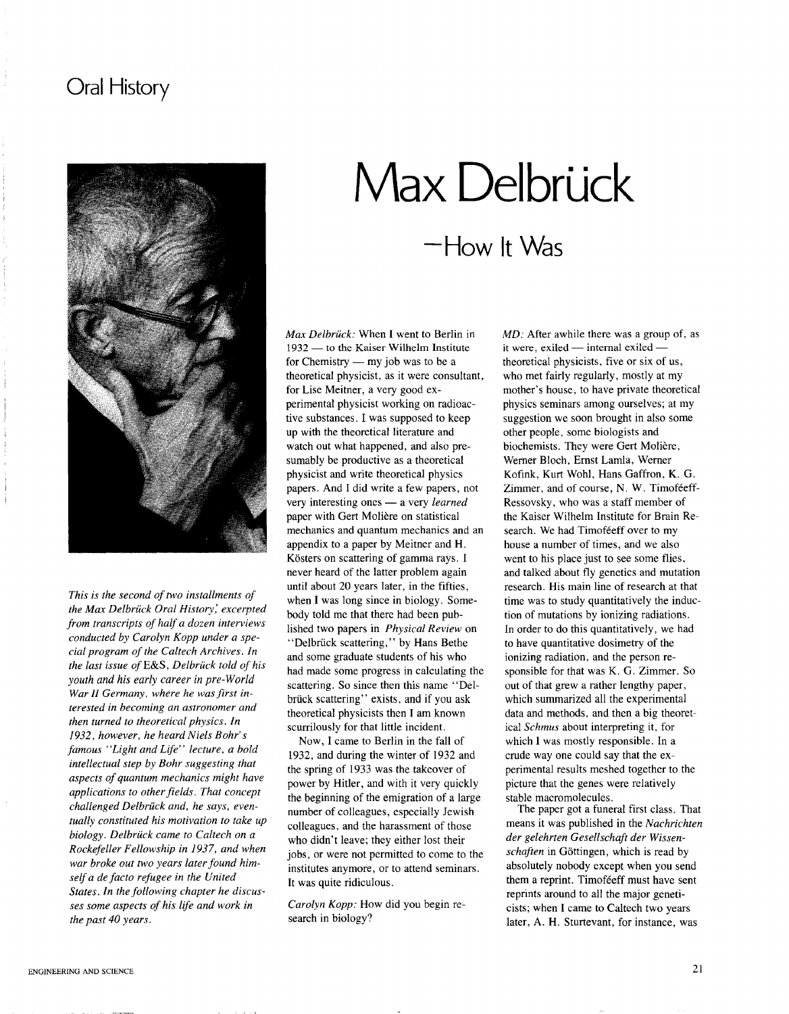## **Oral History**



*This is the second of two installments of the Max Delbriick Oral History; excerpted from transcripts of half a dozen interviews conducted by Carolyn Kopp under a special program of the Caltech Archives. In the last issue ofE&S, Delbriick told of his youth and his early career in pre-World* War *II* Germany, where he was first in*terested in becoming an astronomer and then turned to theoretical physics. In 1932, however, he heard Niels Bohr's famous "Light and Life" lecture, a bold intellectual step by Bohr suggesting that aspects of quantum mechanics might have*  $a$ *applications to other fields*. *That concept challenged Delbriick and, he says, eventually constituted his motivation to take up biology. Delbriick came to Caltech on a Rockefeller Fellowship in* 1937, *and when war broke out two years laterfound himselfa de facto refugee in the United States. In the following chapter he discusses some aspects of his life and work in the past* 40 *years.*

# **-How** It Was Max Delbrück

*Max Delbriick:* When I went to Berlin in 1932 - to the Kaiser Wilhelm Institute for Chemistry  $-$  my job was to be a theoretical physicist, as it were consultant, for Lise Meitner, a very good experimental physicist working on radioactive substances. I was supposed to keep up with the theoretical literature and watch out what happened, and also presumably be productive as a theoretical physicist and write theoretical physics papers. And I did write a few papers, not very interesting ones - a very *learned* paper with Gert Moliere on statistical mechanics and quantum mechanics and an appendix to a paper by Meitner and H. Kösters on scattering of gamma rays. I never heard of the latter problem again until about 20 years later, in the fifties, when I was long since in biology. Somebody told me that there had been published two papers in *Physical Review* on "Delbriick scattering," by Hans Bethe and some graduate students of his who had made some progress in calculating the scattering. So since then this name "Delbriick scattering" exists, and if you ask theoretical physicists then I am known scurrilously for that little incident.

Now, I came to Berlin in the fall of 1932, and during the winter of 1932 and the spring of 1933 was the takeover of power by Hitler, and with it very quickly the beginning of the emigration of a large number of colleagues, especially Jewish colleagues, and the harassment of those who didn't leave; they either lost their jobs, or were not permitted to come to the institutes anymore, or to attend seminars. It was quite ridiculous.

*Carolyn Kopp:* How did you begin research in biology?

MD: After awhile there was a group of, as it were, exiled  $-$  internal exiled  $$ theoretical physicists, five or six of us, who met fairly regularly, mostly at my mother's house, to have private theoretical physics seminars among ourselves; at my suggestion we soon brought in also some other people, some biologists and biochemists. They were Gert Moliere, Werner Bloch, Ernst LamIa, Werner Kofink, Kurt Wohl, Hans Gaffron, K. G. Zimmer, and of course, N. W. Timoféeff-Ressovsky, who was a staff member of the Kaiser Wilhelm Institute for Brain Research. We had Timoféeff over to my house a number of times, and we also went to his place just to see some flies. and talked about fly genetics and mutation research. His main line of research at that time was to study quantitatively the induction of mutations by ionizing radiations. In order to do this quantitatively, we had to have quantitative dosimetry of the ionizing radiation, and the person responsible for that was K. G. Zimmer. So out of that grew a rather lengthy paper, which summarized all the experimental data and methods, and then a big theoretical *Schmus* about interpreting it, for which I was mostly responsible. In a crude way one could say that the experimental results meshed together to the picture that the genes were relatively stable macromolecules.

The paper got a funeral first class. That means it was published in the *Nachrichten der gelehrten Gesellschaft der Wissenschaften* in Gottingen, which is read by absolutely nobody except when you send them a reprint. Timoféeff must have sent reprints around to all the major geneticists; when I came to Caltech two years later, A. H. Sturtevant, for instance, was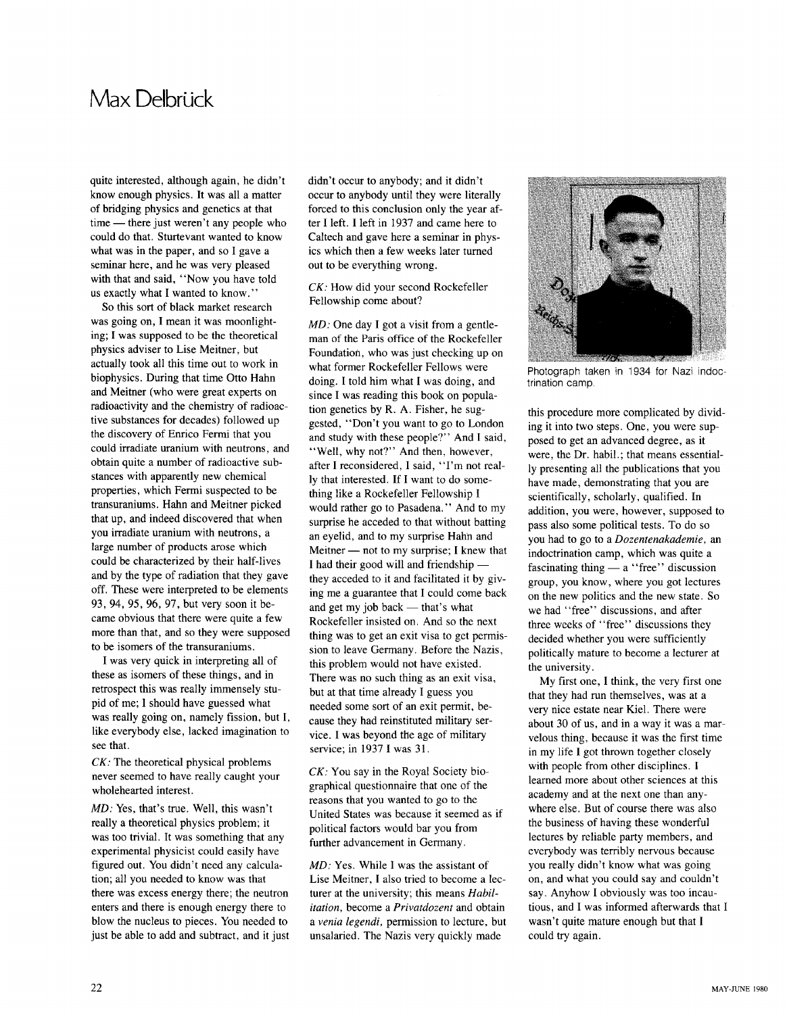#### **Max** Delbrück

quite interested, although again, he didn't know enough physics. **It** was all a matter of bridging physics and genetics at that time - there just weren't any people who could do that. Sturtevant wanted to know what was in the paper, and so I gave a seminar here, and he was very pleased with that and said, "Now you have told us exactly what I wanted to know. "

So this sort of black market research was going on, I mean it was moonlighting; I was supposed to be the theoretical physics adviser to Lise Meitner, but actually took all this time out to work in biophysics. During that time Otto Hahn and Meitner (who were great experts on radioactivity and the chemistry of radioactive substances for decades) followed up the discovery of Enrico Fermi that you could irradiate uranium with neutrons, and obtain quite a number of radioactive substances with apparently new chemical properties, which Fermi suspected to be transuraniums. Hahn and Meitner picked that up, and indeed discovered that when you irradiate uranium with neutrons, a large number of products arose which could be characterized by their half-lives and by the type of radiation that they gave off. These were interpreted to be elements 93, 94, 95, 96, 97, but very soon it became obvious that there were quite a few more than that, and so they were supposed to be isomers of the transuraniums.

I was very quick in interpreting all of these as isomers of these things, and in retrospect this was really immensely stupid of me; I should have guessed what was really going on, namely fission, but I, like everybody else, lacked imagination to see that.

*CK:* The theoretical physical problems never seemed to have really caught your wholehearted interest.

MD: Yes, that's true. Well, this wasn't really a theoretical physics problem; it was too trivial. It was something that any experimental physicist could easily have figured out. You didn't need any calculation; all you needed to know was that there was excess energy there; the neutron enters and there is enough energy there to blow the nucleus to pieces. You needed to just be able to add and subtract, and it just didn't occur to anybody; and it didn't occur to anybody until they were literally forced to this conclusion only the year after I left. I left in 1937 and came here to Caltech and gave here a seminar in physics which then a few weeks later turned out to be everything wrong.

*CK:* How did your second Rockefeller Fellowship come about?

MD: One day I got a visit from a gentleman of the Paris office of the Rockefeller Foundation, who was just checking up on what former Rockefeller Fellows were doing. I told him what I was doing, and since I was reading this book on population genetics by R. A. Fisher, he suggested, "Don't you want to go to London and study with these people?" And I said, "Well, why not?" And then, however, after I reconsidered, I said, "I'm not really that interested. If I want to do something like a Rockefeller Fellowship I would rather go to Pasadena." And to my surprise he acceded to that without batting an eyelid, and to my surprise Hahn and Meitner  $-$  not to my surprise; I knew that I had their good will and friendship they acceded to it and facilitated it by giving me a guarantee that I could come back and get my job back  $-$  that's what Rockefeller insisted on. And so the next thing was to get an exit visa to get permission to leave Germany. Before the Nazis, this problem would not have existed. There was no such thing as an exit visa, but at that time already I guess you needed some sort of an exit permit, because they had reinstituted military service. I was beyond the age of military service; in 1937 I was 31.

*CK:* You say in the Royal Society biographical questionnaire that one of the reasons that you wanted to go to the United States was because it seemed as if political factors would bar you from further advancement in Germany.

MD: Yes. While I was the assistant of Lise Meitner, I also tried to become a lecturer at the university; this means *Habilitation,* become a *Privatdozent* and obtain a *venia legendi,* permission to lecture, but unsalaried. The Nazis very quickly made



Photograph taken in 1934 for Nazi indoctrination camp.

this procedure more complicated by dividing it into two steps. One, you were supposed to get an advanced degree, as it were, the Dr. habil.; that means essentially presenting all the publications that you have made, demonstrating that you are scientifically, scholarly, qualified. **In** addition, you were, however, supposed to pass also some political tests. To do so you had to go to a *Dozentenakademie,* an indoctrination camp, which was quite a fascinating thing  $-$  a "free" discussion group, you know, where you got lectures on the new politics and the new state. So we had "free" discussions, and after three weeks of "free" discussions they decided whether you were sufficiently politically mature to become a lecturer at the university.

My first one, I think, the very first one that they had run themselves, was at a very nice estate near Kiel. There were about 30 of us, and in a way it was a marvelous thing, because it was the first time in my life I got thrown together closely with people from other disciplines. I learned more about other sciences at this academy and at the next one than anywhere else. But of course there was also the business of having these wonderful lectures by reliable party members, and everybody was terribly nervous because you really didn't know what was going on, and what you could say and couldn't say. Anyhow I obviously was too incautious, and I was informed afterwards that I wasn't quite mature enough but that I could try again.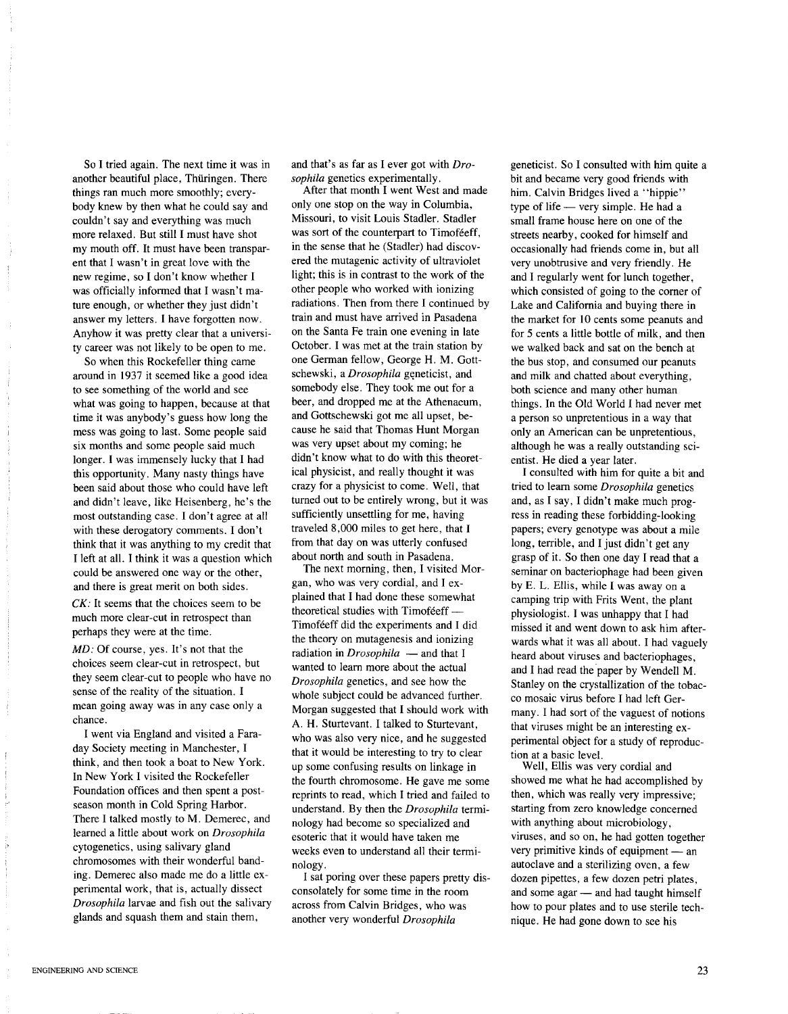So I tried again. The next time it was in another beautiful place, Thüringen. There things ran much more smoothly; everybody knew by then what he could say and couldn't say and everything was much more relaxed. But still I must have shot my mouth off. It must have been transparent that I wasn't in great love with the new regime, so I don't know whether I was officially informed that I wasn't mature enough, or whether they just didn't answer my letters. I have forgotten now. Anyhow it was pretty clear that a university career was not likely to be open to me.

So when this Rockefeller thing came around in 1937 it seemed like a good idea to see something of the world and see what was going to happen, because at that time it was anybody's guess how long the mess was going to last. Some people said six months and some people said much longer. I was immensely lucky that I had this opportunity. Many nasty things have been said about those who could have left and didn't leave, like Heisenberg, he's the most outstanding case. I don't agree at all with these derogatory comments. I don't think that it was anything to my credit that I left at all. I think it was a question which could be answered one way or the other, and there is great merit on both sides.

*CK:* It seems that the choices seem to be much more clear-cut in retrospect than perhaps they were at the time.

MD: Of course, yes. It's not that the choices seem clear-cut in retrospect, but they seem clear-cut to people who have no sense of the reality of the situation. I mean going away was in any case only a chance.

I went via England and visited a Faraday Society meeting in Manchester, I think, and then took a boat to New York. In New York I visited the Rockefeller Foundation offices and then spent a postseason month in Cold Spring Harbor. There I talked mostly to M. Demerec, and learned a little about work on *Drosophila* cytogenetics, using salivary gland chromosomes with their wonderful banding. Demerec also made me do a little experimental work, that is, actually dissect *Drosophila* larvae and fish out the salivary glands and squash them and stain them,

and that's as far as I ever got with *Drosophila* genetics experimentally.

After that month I went West and made only one stop on the way in Columbia, Missouri, to visit Louis Stadler. Stadler was sort of the counterpart to Timoféeff, in the sense that he (Stadler) had discovered the mutagenic activity of ultraviolet light; this is in contrast to the work of the other people who worked with ionizing radiations. Then from there I continued by train and must have arrived in Pasadena on the Santa Fe train one evening in late October. I was met at the train station by one German fellow, George H. M. Gottschewski, a *Drosophila* geneticist, and somebody else. They took me out for a beer, and dropped me at the Athenaeum, and Gottschewski got me all upset, because he said that Thomas Hunt Morgan was very upset about my coming; he didn't know what to do with this theoretical physicist, and really thought it was crazy for a physicist to come. Well, that turned out to be entirely wrong, but it was sufficiently unsettling for me, having traveled 8,000 miles to get here, that I from that day on was utterly confused about north and south in Pasadena.

The next morning, then, I visited Morgan, who was very cordial, and I explained that I had done these somewhat theoretical studies with Timoféeff -Timoféeff did the experiments and I did the theory on mutagenesis and ionizing radiation in *Drosophila* - and that I wanted to learn more about the actual *Drosophila* genetics, and see how the whole subject could be advanced further. Morgan suggested that I should work with A. H. Sturtevant. I talked to Sturtevant, who was also very nice, and he suggested that it would be interesting to try to clear up some confusing results on linkage in the fourth chromosome. He gave me some reprints to read, which I tried and failed to understand. By then the *Drosophila* terminology had become so specialized and esoteric that it would have taken me weeks even to understand all their terminology.

I sat poring over these papers pretty disconsolately for some time in the room across from Calvin Bridges, who was another very wonderful *Drosophila*

geneticist. So I consulted with him quite a bit and became very good friends with him. Calvin Bridges lived a "hippie" type of life - very simple. He had a small frame house here on one of the streets nearby, cooked for himself and occasionally had friends come in, but all very unobtrusive and very friendly. He and I regularly went for lunch together, which consisted of going to the corner of Lake and California and buying there in the market for 10 cents some peanuts and for 5 cents a little bottle of milk, and then we walked back and sat on the bench at the bus stop, and consumed our peanuts and milk and chatted about everything, both science and many other human things. **In** the Old World I had never met a person so unpretentious in a way that only an American can be unpretentious, although he was a really outstanding scientist. He died a year later.

I consulted with him for quite a bit and tried to learn some *Drosophila* genetics and, as I say, I didn't make much progress in reading these forbidding-looking papers; every genotype was about a mile long, terrible, and I just didn't get any grasp of it. So then one day I read that a seminar on bacteriophage had been given by E. L. Ellis, while I was away on a camping trip with Frits Went, the plant physiologist. I was unhappy that I had missed it and went down to ask him afterwards what it was all about. I had vaguely heard about viruses and bacteriophages, and I had read the paper by Wendell M. Stanley on the crystallization of the tobacco mosaic virus before I had left Germany. I had sort of the vaguest of notions that viruses might be an interesting experimental object for a study of reproduction at a basic level.

Well, Ellis was very cordial and showed me what he had accomplished by then, which was really very impressive; starting from zero knowledge concerned with anything about microbiology, viruses, and so on, he had gotten together very primitive kinds of equipment - an autoclave and a sterilizing oven, a few dozen pipettes, a few dozen petri plates, and some agar - and had taught himself how to pour plates and to use sterile technique. He had gone down to see his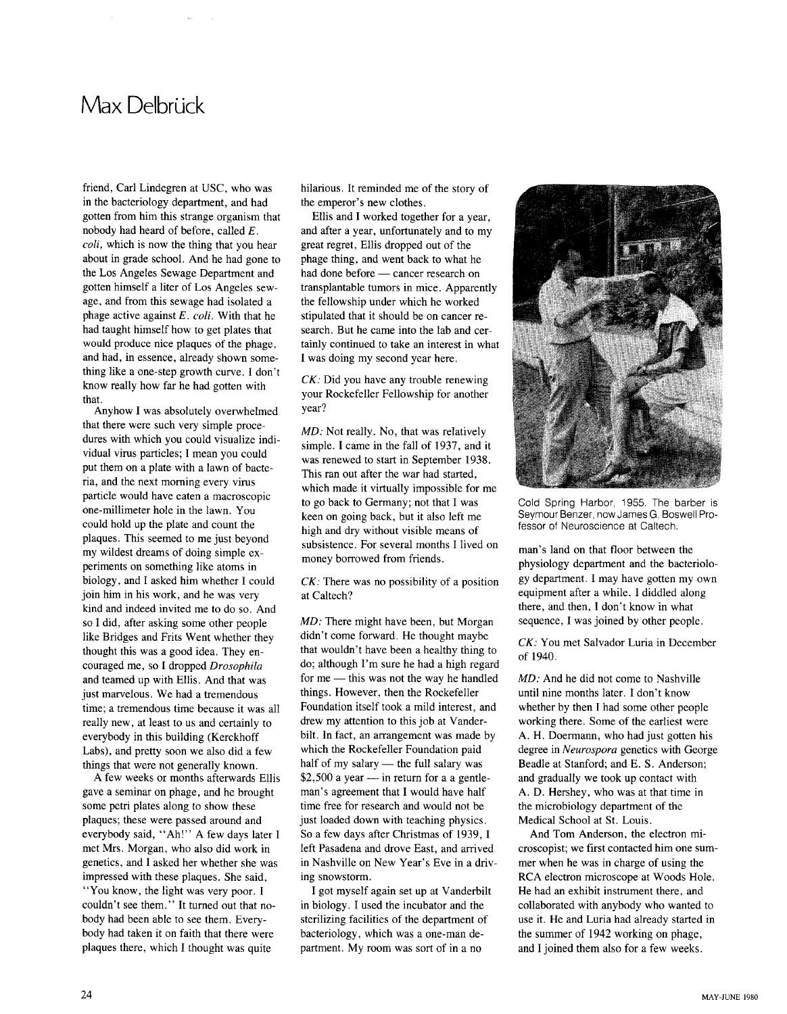# **Max Delbrück**

friend, Carl Lindegren at USC, who was in the bacteriology department, and had gotten from him this strange organism that nobody had heard of before, called *E. coli,* which is now the thing that you hear about in grade school. And he had gone to the Los Angeles Sewage Department and gotten himself a liter of Los Angeles sewage, and from this sewage had isolated a phage active against *E. coli.* With that he had taught himself how to get plates that would produce nice plaques of the phage, and had, in essence, already shown something like a one-step growth curve. I don't know really how far he had gotten with that.

Anyhow I was absolutely overwhelmed that there were such very simple procedures with which you could visualize individual virus particles; I mean you could put them on a plate with a lawn of bacteria, and the next morning every virus particle would have eaten a macroscopic one-millimeter hole in the lawn. You could hold up the plate and count the plaques. This seemed to me just beyond my wildest dreams of doing simple experiments on something like atoms in biology, and I asked him whether I could join him in his work, and he was very kind and indeed invited me to do so. And so I did, after asking some other people like Bridges and Frits Went whether they thought this was a good idea. They encouraged me, so I dropped *Drosophila* and teamed up with Ellis. And that was just marvelous. We had a tremendous time; a tremendous time because it was all really new, at least to us and certainly to everybody in this building (Kerckhoff Labs), and pretty soon we also did a few things that were not generally known.

A few weeks or months afterwards Ellis gave a seminar on phage, and he brought some petri plates along to show these plaques; these were passed around and everybody said, "Ah!" A few days later I met Mrs. Morgan, who also did work in genetics, and I asked her whether she was impressed with these plaques. She said, "You know, the light was very poor. I couldn't see them." **It** turned out that nobody had been able to see them. Everybody had taken it on faith that there were plaques there, which I thought was quite

hilarious. It reminded me of the story of the emperor's new clothes.

Ellis and I worked together for a year, and after a year, unfortunately and to my great regret, Ellis dropped out of the phage thing, and went back to what he had done before - cancer research on transplantable tumors in mice. Apparently the fellowship under which he worked stipulated that it should be on cancer research. But he came into the lab and certainly continued to take an interest in what I was doing my second year here.

*CK:* Did you have any trouble renewing your Rockefeller Fellowship for another year?

MD: Not really. No, that was relatively simple. I came in the fall of 1937, and it was renewed to start in September 1938. This ran out after the war had started, which made it virtually impossible for me to go back to Germany; not that I was keen on going back, but it also left me high and dry without visible means of subsistence. For several months I lived on money borrowed from friends.

*CK:* There was no possibility of a position at Caltech?

MD: There might have been, but Morgan didn't come forward. He thought maybe that wouldn't have been a healthy thing to do; although I'm sure he had a high regard for  $me$  - this was not the way he handled things. However, then the Rockefeller Foundation itself took a mild interest, and drew my attention to this job at Vanderbilt. **In** fact, an arrangement was made by which the Rockefeller Foundation paid half of my salary  $-$  the full salary was  $$2,500$  a year - in return for a a gentleman's agreement that I would have half time free for research and would not be just loaded down with teaching physics. So a few days after Christmas of 1939, I left Pasadena and drove East, and arrived in Nashville on New Year's Eve in a driving snowstorm.

I got myself again set up at Vanderbilt in biology. I used the incubator and the sterilizing facilities of the department of bacteriology, which was a one-man department. My room was sort of in a no



Cold Spring Harbor, 1955, The barber is Seymour Benzer, now James G, Boswell Professor of Neuroscience at Caltech.

man's land on that floor between the physiology department and the bacteriology department. I may have gotten my own equipment after a while. I diddled along there, and then, I don't know in what sequence, I was joined by other people.

*CK:* You met Salvador Luria in December of 1940.

MD: And he did not come to Nashville until nine months later. I don't know whether by then I had some other people working there. Some of the earliest were A. H. Doermann, who had just gotten his degree in *Neurospora* genetics with George Beadle at Stanford; and E. S. Anderson; and gradually we took up contact with A. D. Hershey, who was at that time in the microbiology department of the Medical School at St. Louis.

And Tom Anderson, the electron microscopist; we first contacted him one summer when he was in charge of using the RCA electron microscope at Woods Hole. He had an exhibit instrument there, and collaborated with anybody who wanted to use it. He and Luria had already started in the summer of 1942 working on phage, and I joined them also for a few weeks.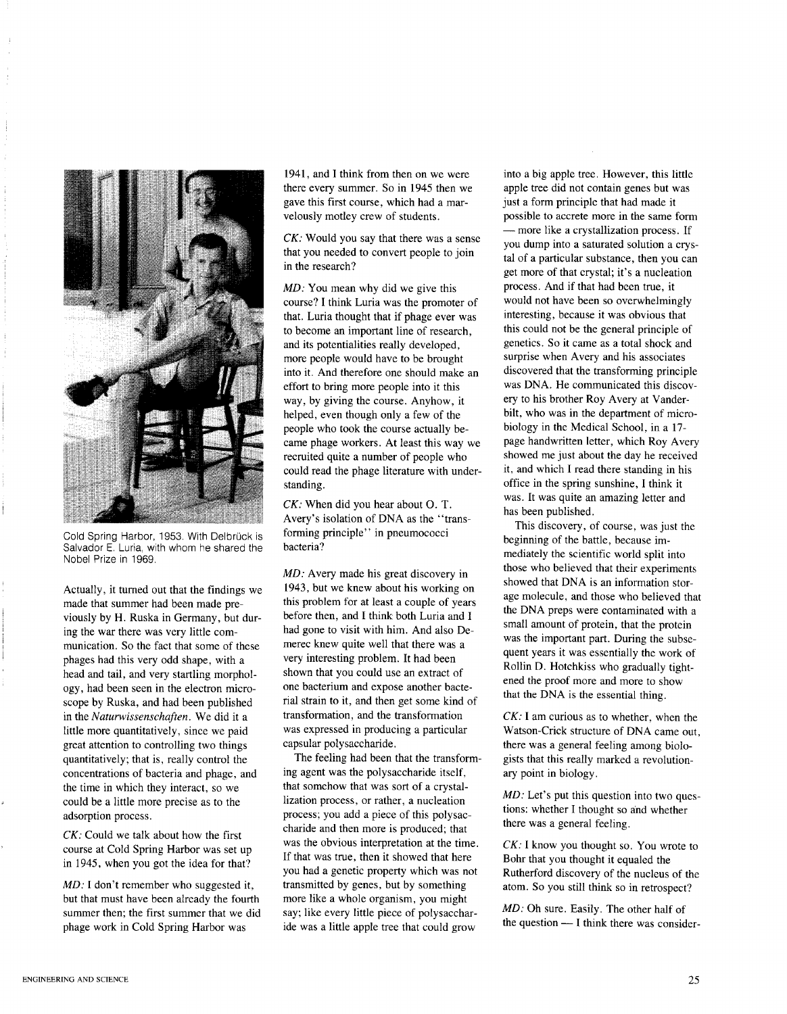

Cold Spring Harbor, 1953. With Delbrück is Salvador E. Luria, with whom he shared the Nobel Prize in 1969.

Actually, it turned out that the findings we made that summer had been made previously by H. Ruska in Germany, but during the war there was very little communication. So the fact that some of these phages had this very odd shape, with a head and tail, and very startling morphology, had been seen in the electron microscope by Ruska, and had been published in the *Naturwissenschaften.* We did it a little more quantitatively, since we paid great attention to controlling two things quantitatively; that is, really control the concentrations of bacteria and phage, and the time in which they interact, so we could be a little more precise as to the adsorption process.

*CK:* Could we talk about how the first course at Cold Spring Harbor was set up in 1945, when you got the idea for that?

MD: I don't remember who suggested it, but that must have been already the fourth summer then; the first summer that we did phage work in Cold Spring Harbor was

1941, and I think from then on we were there every summer. So in 1945 then we gave this first course, which had a marvelously motley crew of students.

*CK:* Would you say that there was a sense that you needed to convert people to join in the research?

MD: You mean why did we give this course? I think Luria was the promoter of that. Luria thought that if phage ever was to become an important line of research, and its potentialities really developed, more people would have to be brought into it. And therefore one should make an effort to bring more people into it this way, by giving the course. Anyhow, it helped, even though only a few of the people who took the course actually became phage workers. At least this way we recruited quite a number of people who could read the phage literature with understanding.

*CK:* When did you hear about O. T. Avery's isolation of DNA as the "transforming principle" in pneumococci bacteria?

MD: Avery made his great discovery in 1943, but we knew about his working on this problem for at least a couple of years before then, and I think both Luria and I had gone to visit with him. And also Demerec knew quite well that there was a very interesting problem. It had been shown that you could use an extract of one bacterium and expose another bacterial strain to it, and then get some kind of transformation, and the transformation was expressed in producing a particular capsular polysaccharide.

The feeling had been that the transforming agent was the polysaccharide itself, that somehow that was sort of a crystallization process, or rather, a nucleation process; you add a piece of this polysaccharide and then more is produced; that was the obvious interpretation at the time. If that was true, then it showed that here you had a genetic property which was not transmitted by genes, but by something more like a whole organism, you might say; like every little piece of polysaccharide was a little apple tree that could grow

into a big apple tree. However, this little apple tree did not contain genes but was just a form principle that had made it possible to accrete more in the same form - more like a crystallization process. If you dump into a saturated solution a crystal of a particular substance, then you can get more of that crystal; it's a nucleation process. And if that had been true, it would not have been so overwhelmingly interesting, because it was obvious that this could not be the general principle of genetics. So it came as a total shock and surprise when Avery and his associates discovered that the transforming principle was DNA. He communicated this discovery to his brother Roy Avery at Vanderbilt, who was in the department of microbiology in the Medical School, in a 17 page handwritten letter, which Roy Avery showed me just about the day he received it, and which I read there standing in his office in the spring sunshine, I think it was. It was quite an amazing letter and has been published.

This discovery, of course, was just the beginning of the battle, because immediately the scientific world split into those who believed that their experiments showed that DNA is an information storage molecule, and those who believed that the DNA preps were contaminated with a small amount of protein, that the protein was the important part. During the subsequent years it was essentially the work of Rollin D. Hotchkiss who gradually tightened the proof more and more to show that the DNA is the essential thing.

*CK:* I am curious as to whether, when the Watson-Crick structure of DNA came out, there was a general feeling among biologists that this really marked a revolutionary point in biology.

MD: Let's put this question into two questions: whether I thought so and whether there was a general feeling.

*CK:* I know you thought so. You wrote to Bohr that you thought it equaled the Rutherford discovery of the nucleus of the atom. So you still think so in retrospect?

MD: Oh sure. Easily. The other half of the question - I think there was consider-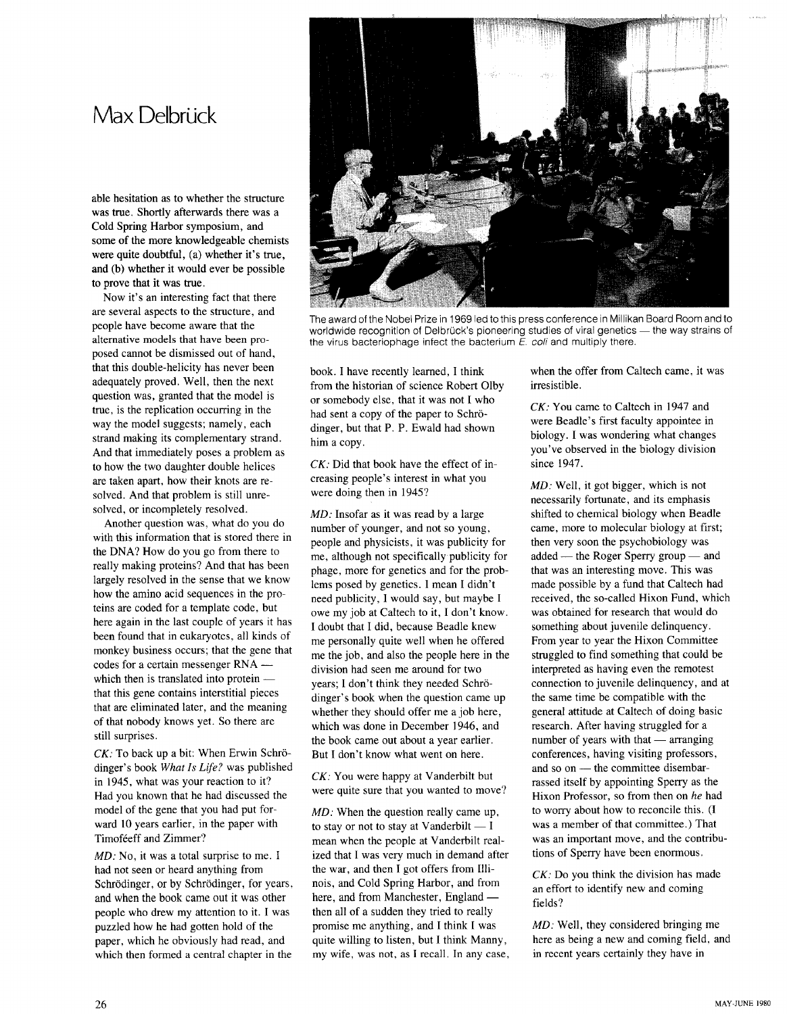### **Max** Delbrück

able hesitation as to whether the structure was true. Shortly afterwards there was a Cold Spring Harbor symposium, and some of the more knowledgeable chemists were quite doubtful, (a) whether it's true, and (b) whether it would ever be possible to prove that it was true.

Now it's an interesting fact that there are several aspects to the structure, and people have become aware that the alternative models that have been proposed cannot be dismissed out of hand, that this double-helicity has never been adequately proved. Well, then the next question was, granted that the model is true, is the replication occurring in the way the model suggests; namely, each strand making its complementary strand. And that immediately poses a problem as to how the two daughter double helices are taken apart, how their knots are resolved. And that problem is still unresolved, or incompletely resolved.

Another question was, what do you do with this information that is stored there in the DNA? How do you go from there to really making proteins? And that has been largely resolved in the sense that we know how the amino acid sequences in the proteins are coded for a template code, but here again in the last couple of years it has been found that in eukaryotes, all kinds of monkey business occurs; that the gene that codes for a certain messenger RNA which then is translated into protein  $$ that this gene contains interstitial pieces that are eliminated later, and the meaning of that nobody knows yet. So there are still surprises.

*CK:* To back up a bit: When Erwin Schrödinger's book *What Is Life?* was published in 1945, what was your reaction to it? Had you known that he had discussed the model of the gene that you had put forward 10 years earlier, in the paper with Timoféeff and Zimmer?

MD: No, it was a total surprise to me. I had not seen or heard anything from Schrödinger, or by Schrödinger, for years, and when the book came out it was other people who drew my attention to it. I was puzzled how he had gotten hold of the paper, which he obviously had read, and which then formed a central chapter in the



The award of the Nobel Prize in 1969 led to this press conference in Millikan Board Room and to worldwide recognition of Delbrück's pioneering studies of viral genetics - the way strains of the virus bacteriophage infect the bacterium *E.* coli and multiply there.

book. I have recently learned, I think from the historian of science Robert Olby or somebody else, that it was not I who had sent a copy of the paper to Schrödinger, but that P. P. Ewald had shown him a copy.

*CK:* Did that book have the effect of increasing people's interest in what you were doing then in 1945?

MD: Insofar as it was read by a large number of younger, and not so young, people and physicists, it was publicity for me, although not specifically publicity for phage, more for genetics and for the problems posed by genetics. I mean I didn't need publicity, I would say, but maybe I owe my job at Caltech to it, I don't know. I doubt that I did, because Beadle knew me personally quite well when he offered me the job, and also the people here in the division had seen me around for two years; I don't think they needed Schrödinger's book when the question came up whether they should offer me a job here, which was done in December 1946, and the book came out about a year earlier. But I don't know what went on here.

*CK:* You were happy at Vanderbilt but were quite sure that you wanted to move?

MD: When the question really came up, to stay or not to stay at Vanderbilt  $- I$ mean when the people at Vanderbilt realized that I was very much in demand after the war, and then I got offers from Illinois, and Cold Spring Harbor, and from here, and from Manchester, England then all of a sudden they tried to really promise me anything, and I think I was quite willing to listen, but I think Manny, my wife, was not, as I recall. **In** any case, when the offer from Caltech came, it was irresistible.

*CK:* You came to Caltech in 1947 and were Beadle's first faculty appointee in biology. I was wondering what changes you've observed in the biology division since 1947.

MD: Well, it got bigger, which is not necessarily fortunate, and its emphasis shifted to chemical biology when Beadle came, more to molecular biology at first; then very soon the psychobiology was added - the Roger Sperry group - and that was an interesting move. This was made possible by a fund that Caltech had received, the so-called Hixon Fund, which was obtained for research that would do something about juvenile delinquency. From year to year the Hixon Committee struggled to find something that could be interpreted as having even the remotest connection to juvenile delinquency, and at the same time be compatible with the general attitude at Caltech of doing basic research. After having struggled for a number of years with that  $-$  arranging conferences, having visiting professors, and so on - the committee disembarrassed itself by appointing Sperry as the Hixon Professor, so from then on *he* had to worry about how to reconcile this. (I was a member of that committee.) That was an important move, and the contributions of Sperry have been enormous.

*CK:* Do you think the division has made an effort to identify new and coming fields?

MD: Well, they considered bringing me here as being a new and coming field, and in recent years certainly they have in